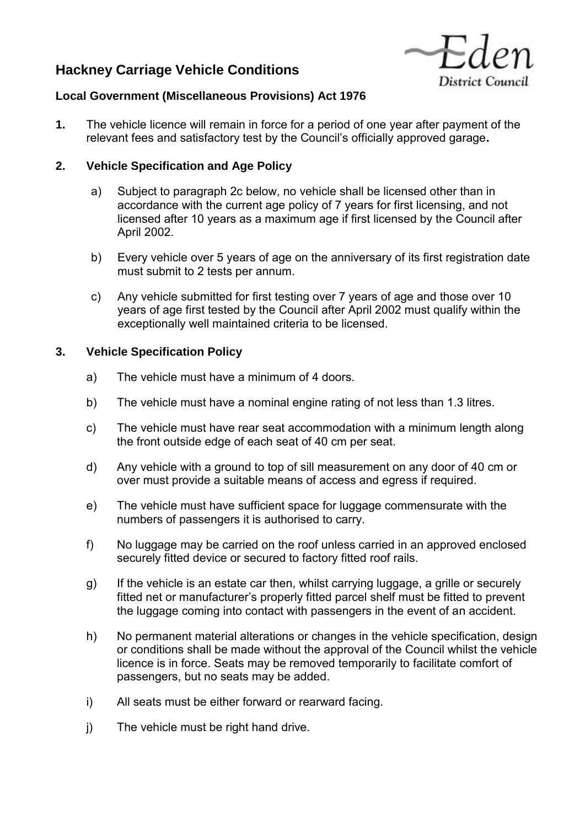# **Hackney Carriage Vehicle Conditions**



# **Local Government (Miscellaneous Provisions) Act 1976**

**1.** The vehicle licence will remain in force for a period of one year after payment of the relevant fees and satisfactory test by the Council's officially approved garage**.** 

# **2. Vehicle Specification and Age Policy**

- a) Subject to paragraph 2c below, no vehicle shall be licensed other than in accordance with the current age policy of 7 years for first licensing, and not licensed after 10 years as a maximum age if first licensed by the Council after April 2002.
- b) Every vehicle over 5 years of age on the anniversary of its first registration date must submit to 2 tests per annum.
- c) Any vehicle submitted for first testing over 7 years of age and those over 10 years of age first tested by the Council after April 2002 must qualify within the exceptionally well maintained criteria to be licensed.

# **3. Vehicle Specification Policy**

- a) The vehicle must have a minimum of 4 doors.
- b) The vehicle must have a nominal engine rating of not less than 1.3 litres.
- c) The vehicle must have rear seat accommodation with a minimum length along the front outside edge of each seat of 40 cm per seat.
- d) Any vehicle with a ground to top of sill measurement on any door of 40 cm or over must provide a suitable means of access and egress if required.
- e) The vehicle must have sufficient space for luggage commensurate with the numbers of passengers it is authorised to carry.
- f) No luggage may be carried on the roof unless carried in an approved enclosed securely fitted device or secured to factory fitted roof rails.
- g) If the vehicle is an estate car then, whilst carrying luggage, a grille or securely fitted net or manufacturer's properly fitted parcel shelf must be fitted to prevent the luggage coming into contact with passengers in the event of an accident.
- h) No permanent material alterations or changes in the vehicle specification, design or conditions shall be made without the approval of the Council whilst the vehicle licence is in force. Seats may be removed temporarily to facilitate comfort of passengers, but no seats may be added.
- i) All seats must be either forward or rearward facing.
- j) The vehicle must be right hand drive.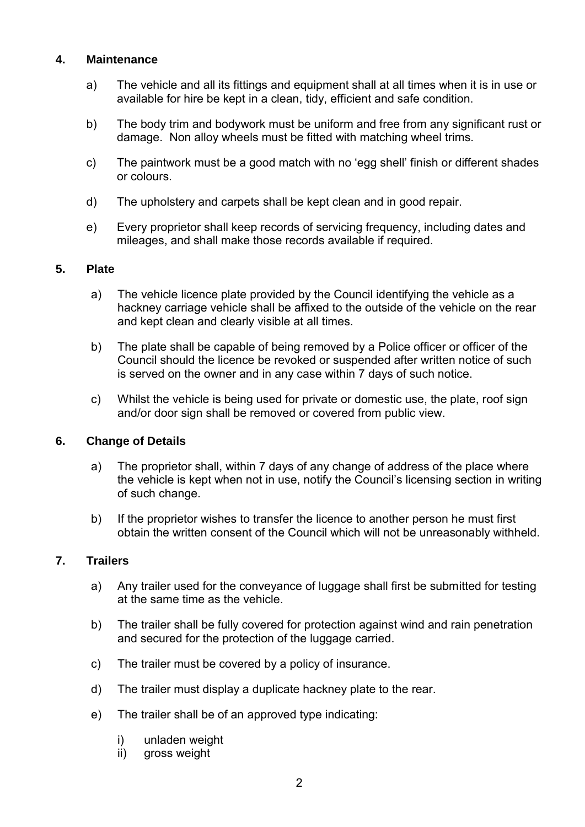# **4. Maintenance**

- a) The vehicle and all its fittings and equipment shall at all times when it is in use or available for hire be kept in a clean, tidy, efficient and safe condition.
- b) The body trim and bodywork must be uniform and free from any significant rust or damage. Non alloy wheels must be fitted with matching wheel trims.
- c) The paintwork must be a good match with no 'egg shell' finish or different shades or colours.
- d) The upholstery and carpets shall be kept clean and in good repair.
- e) Every proprietor shall keep records of servicing frequency, including dates and mileages, and shall make those records available if required.

#### **5. Plate**

- a) The vehicle licence plate provided by the Council identifying the vehicle as a hackney carriage vehicle shall be affixed to the outside of the vehicle on the rear and kept clean and clearly visible at all times.
- b) The plate shall be capable of being removed by a Police officer or officer of the Council should the licence be revoked or suspended after written notice of such is served on the owner and in any case within 7 days of such notice.
- c) Whilst the vehicle is being used for private or domestic use, the plate, roof sign and/or door sign shall be removed or covered from public view.

#### **6. Change of Details**

- a) The proprietor shall, within 7 days of any change of address of the place where the vehicle is kept when not in use, notify the Council's licensing section in writing of such change.
- b) If the proprietor wishes to transfer the licence to another person he must first obtain the written consent of the Council which will not be unreasonably withheld.

#### **7. Trailers**

- a) Any trailer used for the conveyance of luggage shall first be submitted for testing at the same time as the vehicle.
- b) The trailer shall be fully covered for protection against wind and rain penetration and secured for the protection of the luggage carried.
- c) The trailer must be covered by a policy of insurance.
- d) The trailer must display a duplicate hackney plate to the rear.
- e) The trailer shall be of an approved type indicating:
	- i) unladen weight
	- ii) gross weight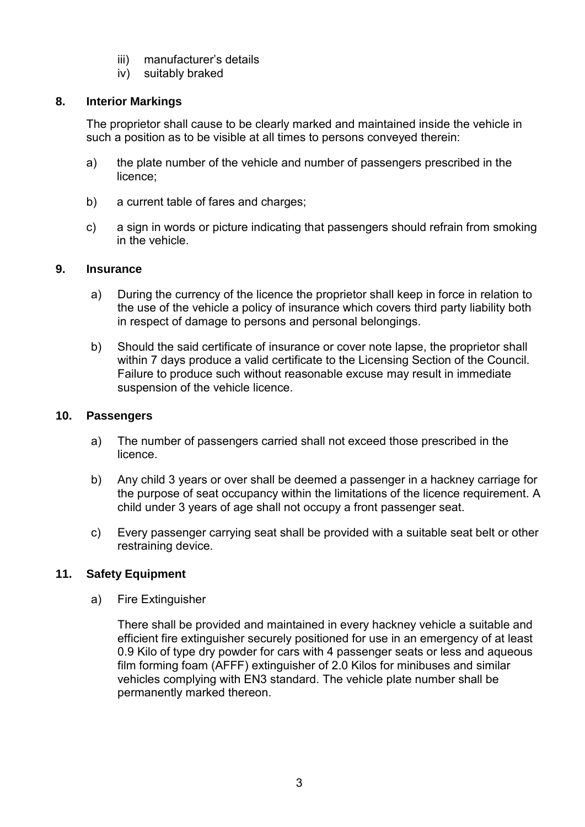- iii) manufacturer's details
- iv) suitably braked

# **8. Interior Markings**

The proprietor shall cause to be clearly marked and maintained inside the vehicle in such a position as to be visible at all times to persons conveyed therein:

- a) the plate number of the vehicle and number of passengers prescribed in the licence;
- b) a current table of fares and charges:
- c) a sign in words or picture indicating that passengers should refrain from smoking in the vehicle.

# **9. Insurance**

- a) During the currency of the licence the proprietor shall keep in force in relation to the use of the vehicle a policy of insurance which covers third party liability both in respect of damage to persons and personal belongings.
- b) Should the said certificate of insurance or cover note lapse, the proprietor shall within 7 days produce a valid certificate to the Licensing Section of the Council. Failure to produce such without reasonable excuse may result in immediate suspension of the vehicle licence.

#### **10. Passengers**

- a) The number of passengers carried shall not exceed those prescribed in the licence.
- b) Any child 3 years or over shall be deemed a passenger in a hackney carriage for the purpose of seat occupancy within the limitations of the licence requirement. A child under 3 years of age shall not occupy a front passenger seat.
- c) Every passenger carrying seat shall be provided with a suitable seat belt or other restraining device.

# **11. Safety Equipment**

a) Fire Extinguisher

There shall be provided and maintained in every hackney vehicle a suitable and efficient fire extinguisher securely positioned for use in an emergency of at least 0.9 Kilo of type dry powder for cars with 4 passenger seats or less and aqueous film forming foam (AFFF) extinguisher of 2.0 Kilos for minibuses and similar vehicles complying with EN3 standard. The vehicle plate number shall be permanently marked thereon.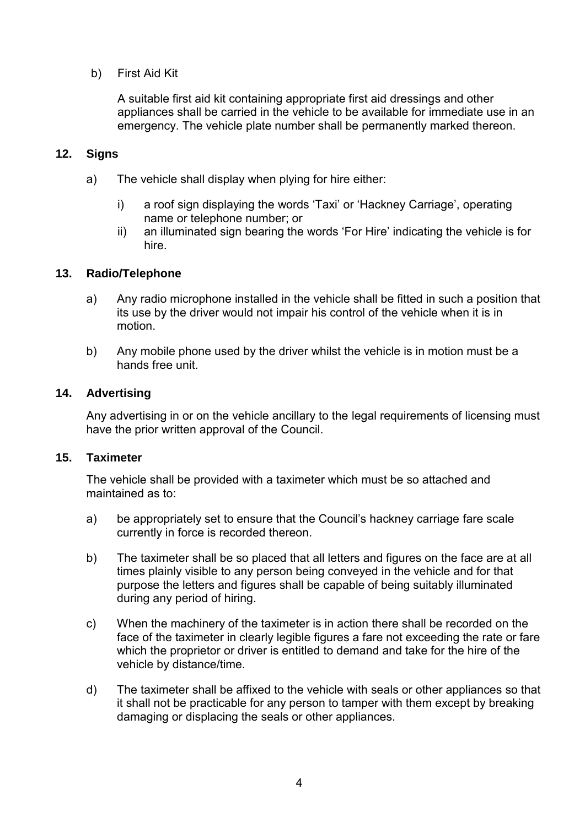b) First Aid Kit

A suitable first aid kit containing appropriate first aid dressings and other appliances shall be carried in the vehicle to be available for immediate use in an emergency. The vehicle plate number shall be permanently marked thereon.

# **12. Signs**

- a) The vehicle shall display when plying for hire either:
	- i) a roof sign displaying the words 'Taxi' or 'Hackney Carriage', operating name or telephone number; or
	- ii) an illuminated sign bearing the words 'For Hire' indicating the vehicle is for hire.

# **13. Radio/Telephone**

- a) Any radio microphone installed in the vehicle shall be fitted in such a position that its use by the driver would not impair his control of the vehicle when it is in motion.
- b) Any mobile phone used by the driver whilst the vehicle is in motion must be a hands free unit.

# **14. Advertising**

Any advertising in or on the vehicle ancillary to the legal requirements of licensing must have the prior written approval of the Council.

# **15. Taximeter**

The vehicle shall be provided with a taximeter which must be so attached and maintained as to:

- a) be appropriately set to ensure that the Council's hackney carriage fare scale currently in force is recorded thereon.
- b) The taximeter shall be so placed that all letters and figures on the face are at all times plainly visible to any person being conveyed in the vehicle and for that purpose the letters and figures shall be capable of being suitably illuminated during any period of hiring.
- c) When the machinery of the taximeter is in action there shall be recorded on the face of the taximeter in clearly legible figures a fare not exceeding the rate or fare which the proprietor or driver is entitled to demand and take for the hire of the vehicle by distance/time.
- d) The taximeter shall be affixed to the vehicle with seals or other appliances so that it shall not be practicable for any person to tamper with them except by breaking damaging or displacing the seals or other appliances.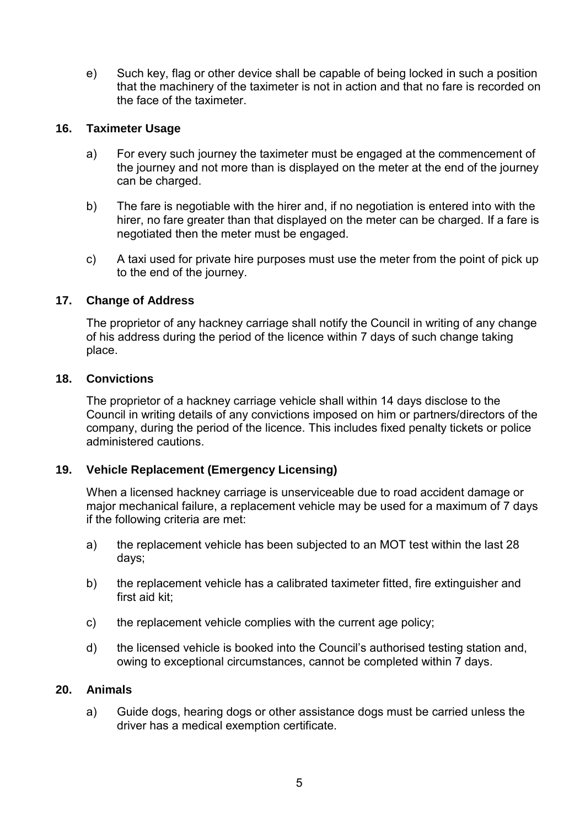e) Such key, flag or other device shall be capable of being locked in such a position that the machinery of the taximeter is not in action and that no fare is recorded on the face of the taximeter.

# **16. Taximeter Usage**

- a) For every such journey the taximeter must be engaged at the commencement of the journey and not more than is displayed on the meter at the end of the journey can be charged.
- b) The fare is negotiable with the hirer and, if no negotiation is entered into with the hirer, no fare greater than that displayed on the meter can be charged. If a fare is negotiated then the meter must be engaged.
- c) A taxi used for private hire purposes must use the meter from the point of pick up to the end of the journey.

# **17. Change of Address**

The proprietor of any hackney carriage shall notify the Council in writing of any change of his address during the period of the licence within 7 days of such change taking place.

# **18. Convictions**

The proprietor of a hackney carriage vehicle shall within 14 days disclose to the Council in writing details of any convictions imposed on him or partners/directors of the company, during the period of the licence. This includes fixed penalty tickets or police administered cautions.

# **19. Vehicle Replacement (Emergency Licensing)**

When a licensed hackney carriage is unserviceable due to road accident damage or major mechanical failure, a replacement vehicle may be used for a maximum of 7 days if the following criteria are met:

- a) the replacement vehicle has been subjected to an MOT test within the last 28 days;
- b) the replacement vehicle has a calibrated taximeter fitted, fire extinguisher and first aid kit;
- c) the replacement vehicle complies with the current age policy;
- d) the licensed vehicle is booked into the Council's authorised testing station and, owing to exceptional circumstances, cannot be completed within 7 days.

# **20. Animals**

a) Guide dogs, hearing dogs or other assistance dogs must be carried unless the driver has a medical exemption certificate.